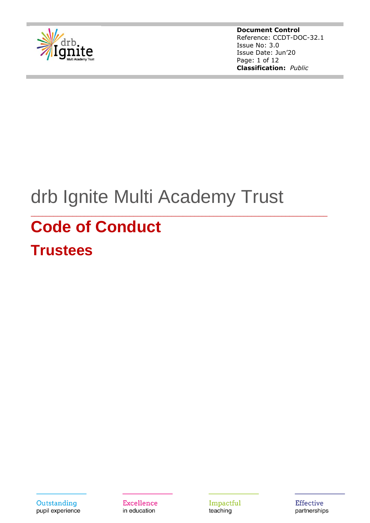

**Document Control** Reference: CCDT-DOC-32.1 Issue No: 3.0 Issue Date: Jun'20 Page: 1 of 12 **Classification:** *Public*

# drb Ignite Multi Academy Trust

\_\_\_\_\_\_\_\_\_\_\_\_\_\_\_\_\_\_\_\_\_\_\_\_\_\_\_\_\_\_\_\_\_\_\_\_\_\_\_\_\_\_\_\_\_\_\_\_\_\_\_\_\_\_\_\_\_\_\_\_\_\_\_\_\_\_\_\_\_\_\_\_\_\_\_\_\_\_

## **Code of Conduct**

**Trustees**

Outstanding pupil experience **Excellence** in education

Impactful teaching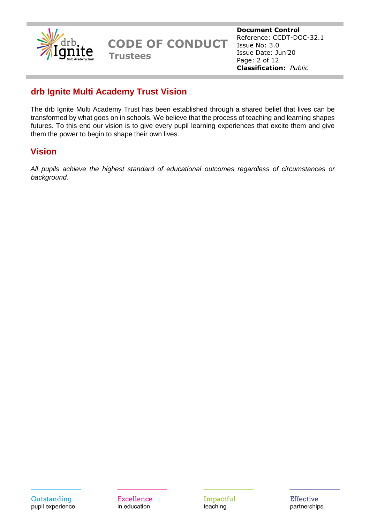

### **drb Ignite Multi Academy Trust Vision**

The drb Ignite Multi Academy Trust has been established through a shared belief that lives can be transformed by what goes on in schools. We believe that the process of teaching and learning shapes futures. To this end our vision is to give every pupil learning experiences that excite them and give them the power to begin to shape their own lives.

#### **Vision**

*All pupils achieve the highest standard of educational outcomes regardless of circumstances or background.*

Impactful teaching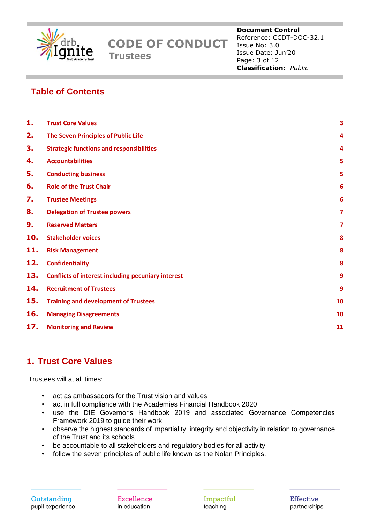

**Document Control** Reference: CCDT-DOC-32.1 Issue No: 3.0 Issue Date: Jun'20 Page: 3 of 12 **Classification:** *Public*

#### **Table of Contents**

| 1.  | <b>Trust Core Values</b>                                  | 3                       |
|-----|-----------------------------------------------------------|-------------------------|
| 2.  | The Seven Principles of Public Life                       | 4                       |
| 3.  | <b>Strategic functions and responsibilities</b>           | 4                       |
| 4.  | <b>Accountabilities</b>                                   | 5                       |
| 5.  | <b>Conducting business</b>                                | 5                       |
| 6.  | <b>Role of the Trust Chair</b>                            | 6                       |
| 7.  | <b>Trustee Meetings</b>                                   | 6                       |
| 8.  | <b>Delegation of Trustee powers</b>                       | $\overline{\mathbf{z}}$ |
| 9.  | <b>Reserved Matters</b>                                   | $\overline{7}$          |
| 10. | <b>Stakeholder voices</b>                                 | 8                       |
| 11. | <b>Risk Management</b>                                    | 8                       |
| 12. | <b>Confidentiality</b>                                    | 8                       |
| 13. | <b>Conflicts of interest including pecuniary interest</b> | 9                       |
| 14. | <b>Recruitment of Trustees</b>                            | 9                       |
| 15. | <b>Training and development of Trustees</b>               | 10                      |
| 16. | <b>Managing Disagreements</b>                             | 10                      |
| 17. | <b>Monitoring and Review</b>                              | 11                      |
|     |                                                           |                         |

#### <span id="page-2-0"></span>**1. Trust Core Values**

Trustees will at all times:

- act as ambassadors for the Trust vision and values
- act in full compliance with the Academies Financial Handbook 2020
- use the DfE Governor's Handbook 2019 and associated Governance Competencies Framework 2019 to guide their work
- observe the highest standards of impartiality, integrity and objectivity in relation to governance of the Trust and its schools
- be accountable to all stakeholders and regulatory bodies for all activity
- follow the seven principles of public life known as the Nolan Principles.

Excellence in education

Impactful teaching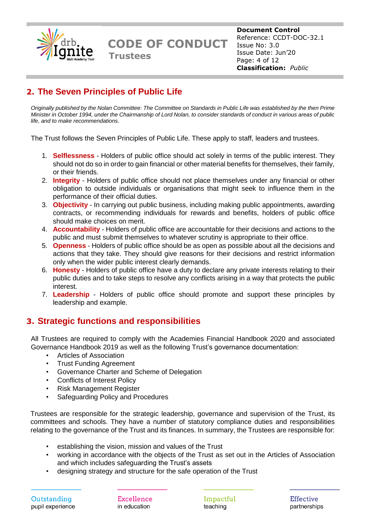

## <span id="page-3-0"></span>**2. The Seven Principles of Public Life**

*Originally published by the Nolan Committee: The Committee on Standards in Public Life was established by the then Prime Minister in October 1994, under the Chairmanship of Lord Nolan, to consider standards of conduct in various areas of public life, and to make recommendations.* 

The Trust follows the Seven Principles of Public Life. These apply to staff, leaders and trustees.

- 1. **Selflessness** Holders of public office should act solely in terms of the public interest. They should not do so in order to gain financial or other material benefits for themselves, their family, or their friends.
- 2. **Integrity** Holders of public office should not place themselves under any financial or other obligation to outside individuals or organisations that might seek to influence them in the performance of their official duties.
- 3. **Objectivity** In carrying out public business, including making public appointments, awarding contracts, or recommending individuals for rewards and benefits, holders of public office should make choices on merit.
- 4. **Accountability**  Holders of public office are accountable for their decisions and actions to the public and must submit themselves to whatever scrutiny is appropriate to their office.
- 5. **Openness** Holders of public office should be as open as possible about all the decisions and actions that they take. They should give reasons for their decisions and restrict information only when the wider public interest clearly demands.
- 6. **Honesty** Holders of public office have a duty to declare any private interests relating to their public duties and to take steps to resolve any conflicts arising in a way that protects the public interest.
- 7. **Leadership** Holders of public office should promote and support these principles by leadership and example.

#### <span id="page-3-1"></span>**3. Strategic functions and responsibilities**

All Trustees are required to comply with the Academies Financial Handbook 2020 and associated Governance Handbook 2019 as well as the following Trust's governance documentation:

- Articles of Association
- Trust Funding Agreement
- Governance Charter and Scheme of Delegation
- Conflicts of Interest Policy
- Risk Management Register
- Safeguarding Policy and Procedures

Trustees are responsible for the strategic leadership, governance and supervision of the Trust, its committees and schools. They have a number of statutory compliance duties and responsibilities relating to the governance of the Trust and its finances. In summary, the Trustees are responsible for:

- establishing the vision, mission and values of the Trust
- working in accordance with the objects of the Trust as set out in the Articles of Association and which includes safeguarding the Trust's assets
- designing strategy and structure for the safe operation of the Trust

Impactful teaching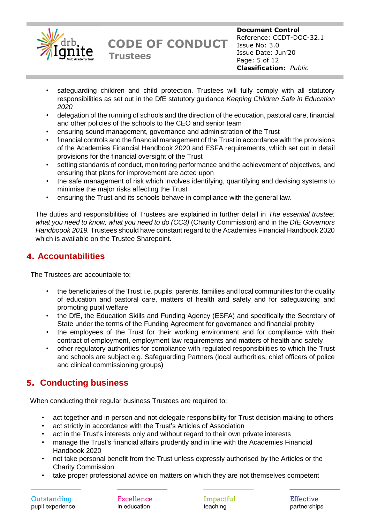

- safeguarding children and child protection. Trustees will fully comply with all statutory responsibilities as set out in the DfE statutory guidance *Keeping Children Safe in Education 2020*
- delegation of the running of schools and the direction of the education, pastoral care, financial and other policies of the schools to the CEO and senior team
- ensuring sound management, governance and administration of the Trust
- financial controls and the financial management of the Trust in accordance with the provisions of the Academies Financial Handbook 2020 and ESFA requirements, which set out in detail provisions for the financial oversight of the Trust
- setting standards of conduct, monitoring performance and the achievement of objectives, and ensuring that plans for improvement are acted upon
- the safe management of risk which involves identifying, quantifying and devising systems to minimise the major risks affecting the Trust
- ensuring the Trust and its schools behave in compliance with the general law.

The duties and responsibilities of Trustees are explained in further detail in *The essential trustee: what you need to know, what you need to do (CC3)* (Charity Commission) and in the *DfE Governors Handboook 2019.* Trustees should have constant regard to the Academies Financial Handbook 2020 which is available on the Trustee Sharepoint.

#### <span id="page-4-0"></span>**4. Accountabilities**

The Trustees are accountable to:

- the beneficiaries of the Trust i.e. pupils, parents, families and local communities for the quality of education and pastoral care, matters of health and safety and for safeguarding and promoting pupil welfare
- the DfE, the Education Skills and Funding Agency (ESFA) and specifically the Secretary of State under the terms of the Funding Agreement for governance and financial probity
- the employees of the Trust for their working environment and for compliance with their contract of employment, employment law requirements and matters of health and safety
- other regulatory authorities for compliance with regulated responsibilities to which the Trust and schools are subject e.g. Safeguarding Partners (local authorities, chief officers of police and clinical commissioning groups)

#### <span id="page-4-1"></span>**5. Conducting business**

When conducting their regular business Trustees are required to:

- act together and in person and not delegate responsibility for Trust decision making to others
- act strictly in accordance with the Trust's Articles of Association
- act in the Trust's interests only and without regard to their own private interests
- manage the Trust's financial affairs prudently and in line with the Academies Financial Handbook 2020
- not take personal benefit from the Trust unless expressly authorised by the Articles or the Charity Commission
- take proper professional advice on matters on which they are not themselves competent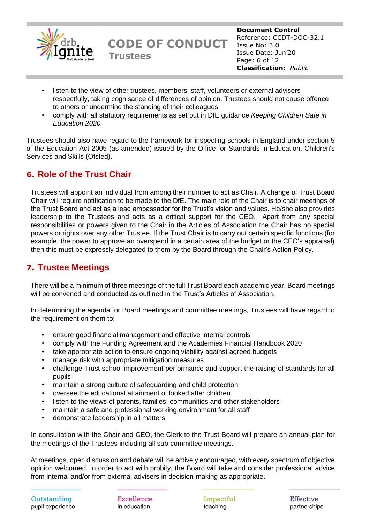

- listen to the view of other trustees, members, staff, volunteers or external advisers respectfully, taking cognisance of differences of opinion. Trustees should not cause offence to others or undermine the standing of their colleagues
- comply with all statutory requirements as set out in DfE guidance *Keeping Children Safe in Education 2020.*

Trustees should also have regard to the framework for inspecting schools in England under section 5 of the Education Act 2005 (as amended) issued by the Office for Standards in Education, Children's Services and Skills (Ofsted).

#### <span id="page-5-0"></span>**6. Role of the Trust Chair**

Trustees will appoint an individual from among their number to act as Chair. A change of Trust Board Chair will require notification to be made to the DfE. The main role of the Chair is to chair meetings of the Trust Board and act as a lead ambassador for the Trust's vision and values. He/she also provides leadership to the Trustees and acts as a critical support for the CEO. Apart from any special responsibilities or powers given to the Chair in the Articles of Association the Chair has no special powers or rights over any other Trustee. If the Trust Chair is to carry out certain specific functions (for example, the power to approve an overspend in a certain area of the budget or the CEO's appraisal) then this must be expressly delegated to them by the Board through the Chair's Action Policy.

#### <span id="page-5-1"></span>**7. Trustee Meetings**

There will be a minimum of three meetings of the full Trust Board each academic year. Board meetings will be convened and conducted as outlined in the Trust's Articles of Association.

In determining the agenda for Board meetings and committee meetings, Trustees will have regard to the requirement on them to:

- ensure good financial management and effective internal controls
- comply with the Funding Agreement and the Academies Financial Handbook 2020
- take appropriate action to ensure ongoing viability against agreed budgets
- manage risk with appropriate mitigation measures
- challenge Trust school improvement performance and support the raising of standards for all pupils
- maintain a strong culture of safeguarding and child protection
- oversee the educational attainment of looked after children
- listen to the views of parents, families, communities and other stakeholders
- maintain a safe and professional working environment for all staff
- demonstrate leadership in all matters

In consultation with the Chair and CEO, the Clerk to the Trust Board will prepare an annual plan for the meetings of the Trustees including all sub-committee meetings.

At meetings, open discussion and debate will be actively encouraged, with every spectrum of objective opinion welcomed. In order to act with probity, the Board will take and consider professional advice from internal and/or from external advisers in decision-making as appropriate.

Impactful teaching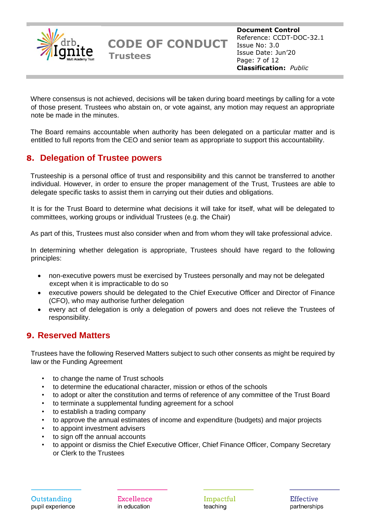

Where consensus is not achieved, decisions will be taken during board meetings by calling for a vote of those present. Trustees who abstain on, or vote against, any motion may request an appropriate note be made in the minutes.

The Board remains accountable when authority has been delegated on a particular matter and is entitled to full reports from the CEO and senior team as appropriate to support this accountability.

#### <span id="page-6-0"></span>**8. Delegation of Trustee powers**

Trusteeship is a personal office of trust and responsibility and this cannot be transferred to another individual. However, in order to ensure the proper management of the Trust, Trustees are able to delegate specific tasks to assist them in carrying out their duties and obligations.

It is for the Trust Board to determine what decisions it will take for itself, what will be delegated to committees, working groups or individual Trustees (e.g. the Chair)

As part of this, Trustees must also consider when and from whom they will take professional advice.

In determining whether delegation is appropriate, Trustees should have regard to the following principles:

- non-executive powers must be exercised by Trustees personally and may not be delegated except when it is impracticable to do so
- executive powers should be delegated to the Chief Executive Officer and Director of Finance (CFO), who may authorise further delegation
- every act of delegation is only a delegation of powers and does not relieve the Trustees of responsibility.

#### <span id="page-6-1"></span>**9. Reserved Matters**

Trustees have the following Reserved Matters subject to such other consents as might be required by law or the Funding Agreement

- to change the name of Trust schools
- to determine the educational character, mission or ethos of the schools
- to adopt or alter the constitution and terms of reference of any committee of the Trust Board
- to terminate a supplemental funding agreement for a school
- to establish a trading company
- to approve the annual estimates of income and expenditure (budgets) and major projects
- to appoint investment advisers
- to sign off the annual accounts
- to appoint or dismiss the Chief Executive Officer, Chief Finance Officer, Company Secretary or Clerk to the Trustees

Excellence in education

Impactful teaching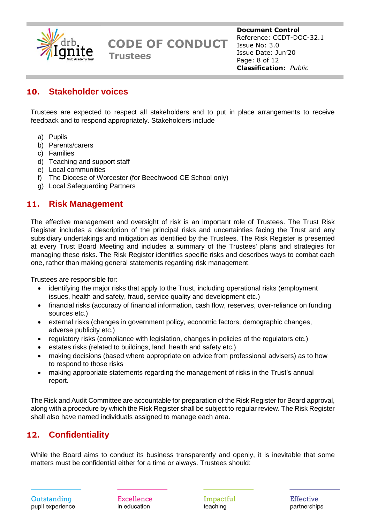

#### <span id="page-7-0"></span>**10. Stakeholder voices**

Trustees are expected to respect all stakeholders and to put in place arrangements to receive feedback and to respond appropriately. Stakeholders include

- a) Pupils
- b) Parents/carers
- c) Families
- d) Teaching and support staff
- e) Local communities
- f) The Diocese of Worcester (for Beechwood CE School only)
- g) Local Safeguarding Partners

#### <span id="page-7-1"></span>**11. Risk Management**

The effective management and oversight of risk is an important role of Trustees. The Trust Risk Register includes a description of the principal risks and uncertainties facing the Trust and any subsidiary undertakings and mitigation as identified by the Trustees. The Risk Register is presented at every Trust Board Meeting and includes a summary of the Trustees' plans and strategies for managing these risks. The Risk Register identifies specific risks and describes ways to combat each one, rather than making general statements regarding risk management.

Trustees are responsible for:

- identifying the major risks that apply to the Trust, including operational risks (employment issues, health and safety, fraud, service quality and development etc.)
- financial risks (accuracy of financial information, cash flow, reserves, over-reliance on funding sources etc.)
- external risks (changes in government policy, economic factors, demographic changes, adverse publicity etc.)
- regulatory risks (compliance with legislation, changes in policies of the regulators etc.)
- estates risks (related to buildings, land, health and safety etc.)
- making decisions (based where appropriate on advice from professional advisers) as to how to respond to those risks
- making appropriate statements regarding the management of risks in the Trust's annual report.

The Risk and Audit Committee are accountable for preparation of the Risk Register for Board approval, along with a procedure by which the Risk Register shall be subject to regular review. The Risk Register shall also have named individuals assigned to manage each area.

#### <span id="page-7-2"></span>**12. Confidentiality**

While the Board aims to conduct its business transparently and openly, it is inevitable that some matters must be confidential either for a time or always. Trustees should:

Excellence in education

Impactful teaching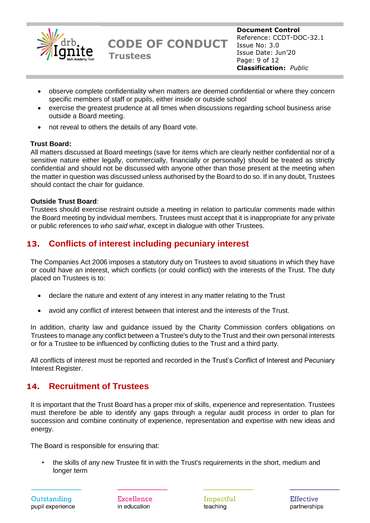

- observe complete confidentiality when matters are deemed confidential or where they concern specific members of staff or pupils, either inside or outside school
- exercise the greatest prudence at all times when discussions regarding school business arise outside a Board meeting.
- not reveal to others the details of any Board vote.

#### **Trust Board:**

All matters discussed at Board meetings (save for items which are clearly neither confidential nor of a sensitive nature either legally, commercially, financially or personally) should be treated as strictly confidential and should not be discussed with anyone other than those present at the meeting when the matter in question was discussed unless authorised by the Board to do so. If in any doubt, Trustees should contact the chair for quidance.

#### **Outside Trust Board**:

Trustees should exercise restraint outside a meeting in relation to particular comments made within the Board meeting by individual members. Trustees must accept that it is inappropriate for any private or public references to *who said what*, except in dialogue with other Trustees.

#### <span id="page-8-0"></span>**13. Conflicts of interest including pecuniary interest**

The Companies Act 2006 imposes a statutory duty on Trustees to avoid situations in which they have or could have an interest, which conflicts (or could conflict) with the interests of the Trust. The duty placed on Trustees is to:

- declare the nature and extent of any interest in any matter relating to the Trust
- avoid any conflict of interest between that interest and the interests of the Trust.

In addition, charity law and guidance issued by the Charity Commission confers obligations on Trustees to manage any conflict between a Trustee's duty to the Trust and their own personal interests or for a Trustee to be influenced by conflicting duties to the Trust and a third party.

All conflicts of interest must be reported and recorded in the Trust's Conflict of Interest and Pecuniary Interest Register.

#### <span id="page-8-1"></span>**14. Recruitment of Trustees**

It is important that the Trust Board has a proper mix of skills, experience and representation. Trustees must therefore be able to identify any gaps through a regular audit process in order to plan for succession and combine continuity of experience, representation and expertise with new ideas and energy.

The Board is responsible for ensuring that:

• the skills of any new Trustee fit in with the Trust's requirements in the short, medium and longer term

Impactful teaching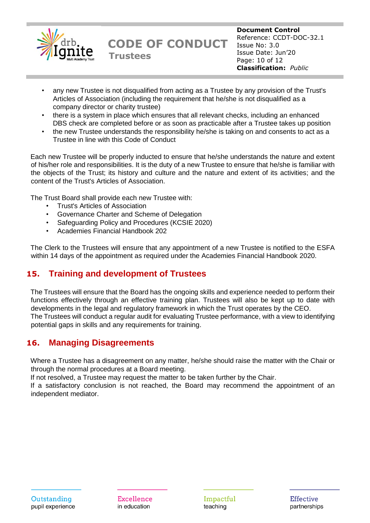

- any new Trustee is not disqualified from acting as a Trustee by any provision of the Trust's Articles of Association (including the requirement that he/she is not disqualified as a company director or charity trustee)
- there is a system in place which ensures that all relevant checks, including an enhanced DBS check are completed before or as soon as practicable after a Trustee takes up position
- the new Trustee understands the responsibility he/she is taking on and consents to act as a Trustee in line with this Code of Conduct

Each new Trustee will be properly inducted to ensure that he/she understands the nature and extent of his/her role and responsibilities. It is the duty of a new Trustee to ensure that he/she is familiar with the objects of the Trust; its history and culture and the nature and extent of its activities; and the content of the Trust's Articles of Association.

The Trust Board shall provide each new Trustee with:

- Trust's Articles of Association
- Governance Charter and Scheme of Delegation
- Safeguarding Policy and Procedures (KCSIE 2020)
- Academies Financial Handbook 202

The Clerk to the Trustees will ensure that any appointment of a new Trustee is notified to the ESFA within 14 days of the appointment as required under the Academies Financial Handbook 2020.

#### <span id="page-9-0"></span>**15. Training and development of Trustees**

The Trustees will ensure that the Board has the ongoing skills and experience needed to perform their functions effectively through an effective training plan. Trustees will also be kept up to date with developments in the legal and regulatory framework in which the Trust operates by the CEO. The Trustees will conduct a regular audit for evaluating Trustee performance, with a view to identifying potential gaps in skills and any requirements for training.

#### <span id="page-9-1"></span>**16. Managing Disagreements**

Where a Trustee has a disagreement on any matter, he/she should raise the matter with the Chair or through the normal procedures at a Board meeting.

If not resolved, a Trustee may request the matter to be taken further by the Chair.

If a satisfactory conclusion is not reached, the Board may recommend the appointment of an independent mediator.

Impactful teaching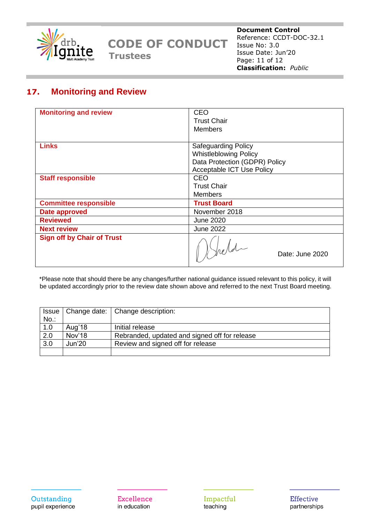

**Document Control** Reference: CCDT-DOC-32.1 Issue No: 3.0 Issue Date: Jun'20 Page: 11 of 12 **Classification:** *Public*

#### <span id="page-10-0"></span>**17. Monitoring and Review**

| <b>Monitoring and review</b>      | <b>CEO</b>                       |
|-----------------------------------|----------------------------------|
|                                   | <b>Trust Chair</b>               |
|                                   | <b>Members</b>                   |
|                                   |                                  |
| <b>Links</b>                      | <b>Safeguarding Policy</b>       |
|                                   | <b>Whistleblowing Policy</b>     |
|                                   | Data Protection (GDPR) Policy    |
|                                   | <b>Acceptable ICT Use Policy</b> |
| <b>Staff responsible</b>          | CEO                              |
|                                   | <b>Trust Chair</b>               |
|                                   | <b>Members</b>                   |
| <b>Committee responsible</b>      | <b>Trust Board</b>               |
| Date approved                     | November 2018                    |
| <b>Reviewed</b>                   | June 2020                        |
| <b>Next review</b>                | <b>June 2022</b>                 |
| <b>Sign off by Chair of Trust</b> | Hild<br>Date: June 2020          |

\*Please note that should there be any changes/further national guidance issued relevant to this policy, it will be updated accordingly prior to the review date shown above and referred to the next Trust Board meeting.

| $ $ Issue $ $    |        | Change date:   Change description:            |
|------------------|--------|-----------------------------------------------|
| $No.$ :          |        |                                               |
| 1.0              | Aug'18 | Initial release                               |
| $\overline{2.0}$ | Nov'18 | Rebranded, updated and signed off for release |
| 3.0              | Jun'20 | Review and signed off for release             |
|                  |        |                                               |